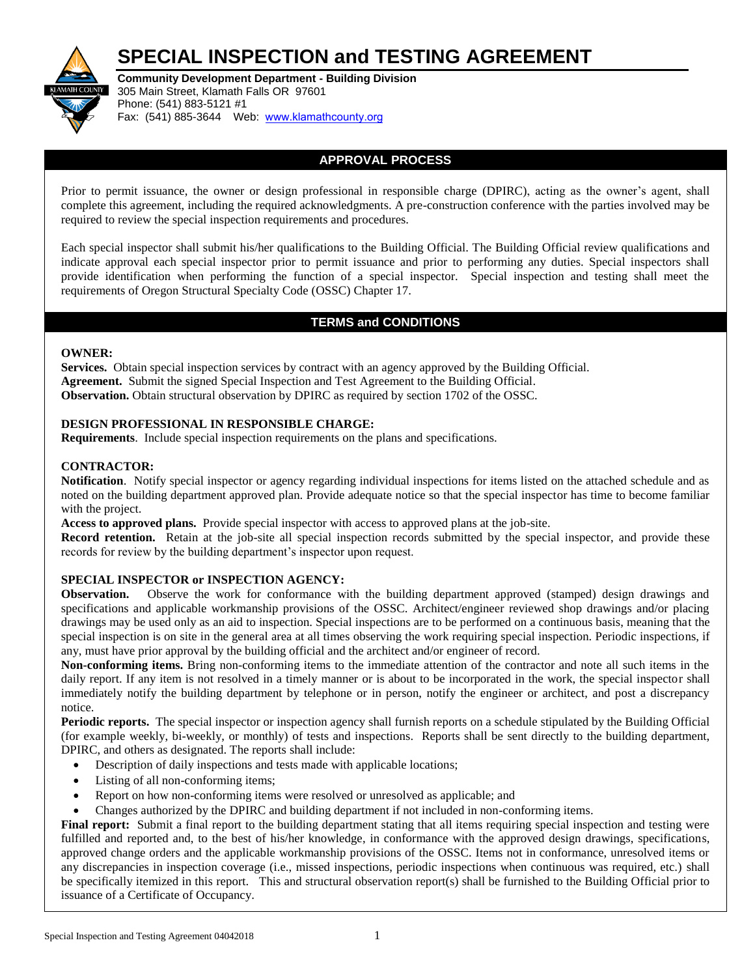# **SPECIAL INSPECTION and TESTING AGREEMENT**



**Community Development Department - Building Division**  305 Main Street, Klamath Falls OR 97601 Phone: (541) 883-5121 #1 Fax: (541) 885-3644 Web: [www.klamathcounty.org](http://www.co.klamath.or.us/)

### **APPROVAL PROCESS**

Prior to permit issuance, the owner or design professional in responsible charge (DPIRC), acting as the owner's agent, shall complete this agreement, including the required acknowledgments. A pre-construction conference with the parties involved may be required to review the special inspection requirements and procedures.

Each special inspector shall submit his/her qualifications to the Building Official. The Building Official review qualifications and indicate approval each special inspector prior to permit issuance and prior to performing any duties. Special inspectors shall provide identification when performing the function of a special inspector. Special inspection and testing shall meet the requirements of Oregon Structural Specialty Code (OSSC) Chapter 17.

## **TERMS and CONDITIONS**

#### **OWNER:**

**Services.** Obtain special inspection services by contract with an agency approved by the Building Official. **Agreement.** Submit the signed Special Inspection and Test Agreement to the Building Official. **Observation.** Obtain structural observation by DPIRC as required by section 1702 of the OSSC.

#### **DESIGN PROFESSIONAL IN RESPONSIBLE CHARGE:**

**Requirements**. Include special inspection requirements on the plans and specifications.

#### **CONTRACTOR:**

**Notification**. Notify special inspector or agency regarding individual inspections for items listed on the attached schedule and as noted on the building department approved plan. Provide adequate notice so that the special inspector has time to become familiar with the project.

**Access to approved plans.** Provide special inspector with access to approved plans at the job-site.

**Record retention.** Retain at the job-site all special inspection records submitted by the special inspector, and provide these records for review by the building department's inspector upon request.

#### **SPECIAL INSPECTOR or INSPECTION AGENCY:**

**Observation.** Observe the work for conformance with the building department approved (stamped) design drawings and specifications and applicable workmanship provisions of the OSSC. Architect/engineer reviewed shop drawings and/or placing drawings may be used only as an aid to inspection. Special inspections are to be performed on a continuous basis, meaning that the special inspection is on site in the general area at all times observing the work requiring special inspection. Periodic inspections, if any, must have prior approval by the building official and the architect and/or engineer of record.

**Non-conforming items.** Bring non-conforming items to the immediate attention of the contractor and note all such items in the daily report. If any item is not resolved in a timely manner or is about to be incorporated in the work, the special inspector shall immediately notify the building department by telephone or in person, notify the engineer or architect, and post a discrepancy notice.

**Periodic reports.** The special inspector or inspection agency shall furnish reports on a schedule stipulated by the Building Official (for example weekly, bi-weekly, or monthly) of tests and inspections. Reports shall be sent directly to the building department, DPIRC, and others as designated. The reports shall include:

- Description of daily inspections and tests made with applicable locations;
- Listing of all non-conforming items;
- Report on how non-conforming items were resolved or unresolved as applicable; and
- Changes authorized by the DPIRC and building department if not included in non-conforming items.

**Final report:** Submit a final report to the building department stating that all items requiring special inspection and testing were fulfilled and reported and, to the best of his/her knowledge, in conformance with the approved design drawings, specifications, approved change orders and the applicable workmanship provisions of the OSSC. Items not in conformance, unresolved items or any discrepancies in inspection coverage (i.e., missed inspections, periodic inspections when continuous was required, etc.) shall be specifically itemized in this report. This and structural observation report(s) shall be furnished to the Building Official prior to issuance of a Certificate of Occupancy.